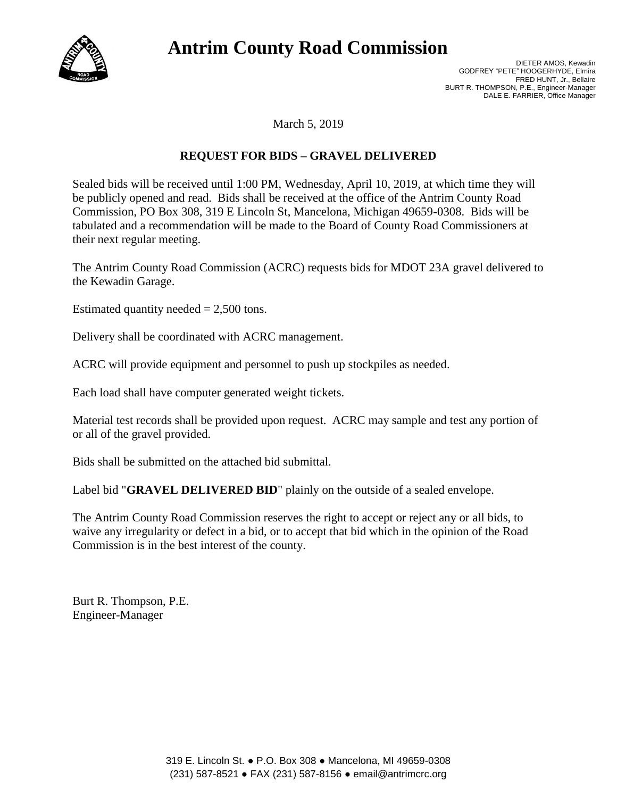

## **Antrim County Road Commission**

March 5, 2019

## **REQUEST FOR BIDS – GRAVEL DELIVERED**

Sealed bids will be received until 1:00 PM, Wednesday, April 10, 2019, at which time they will be publicly opened and read. Bids shall be received at the office of the Antrim County Road Commission, PO Box 308, 319 E Lincoln St, Mancelona, Michigan 49659-0308. Bids will be tabulated and a recommendation will be made to the Board of County Road Commissioners at their next regular meeting.

The Antrim County Road Commission (ACRC) requests bids for MDOT 23A gravel delivered to the Kewadin Garage.

Estimated quantity needed  $= 2,500$  tons.

Delivery shall be coordinated with ACRC management.

ACRC will provide equipment and personnel to push up stockpiles as needed.

Each load shall have computer generated weight tickets.

Material test records shall be provided upon request. ACRC may sample and test any portion of or all of the gravel provided.

Bids shall be submitted on the attached bid submittal.

Label bid "**GRAVEL DELIVERED BID**" plainly on the outside of a sealed envelope.

The Antrim County Road Commission reserves the right to accept or reject any or all bids, to waive any irregularity or defect in a bid, or to accept that bid which in the opinion of the Road Commission is in the best interest of the county.

Burt R. Thompson, P.E. Engineer-Manager